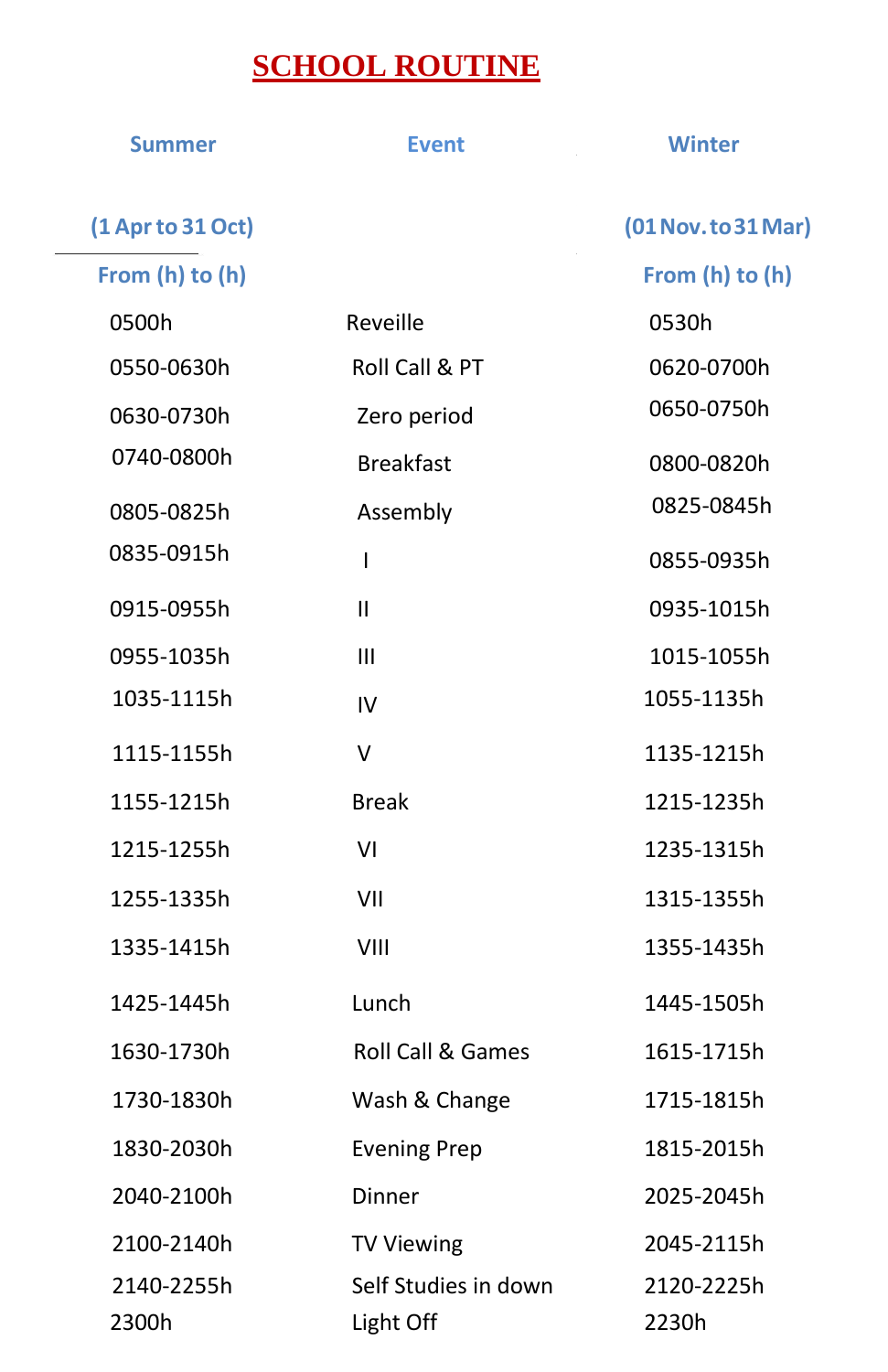## **SCHOOL ROUTINE**

| <b>Summer</b>     | <b>Event</b>                 | <b>Winter</b>       |
|-------------------|------------------------------|---------------------|
| (1 Apr to 31 Oct) |                              | (01 Nov. to 31 Mar) |
| From (h) to (h)   |                              | From (h) to (h)     |
| 0500h             | Reveille                     | 0530h               |
| 0550-0630h        | Roll Call & PT               | 0620-0700h          |
| 0630-0730h        | Zero period                  | 0650-0750h          |
| 0740-0800h        | <b>Breakfast</b>             | 0800-0820h          |
| 0805-0825h        | Assembly                     | 0825-0845h          |
| 0835-0915h        | T                            | 0855-0935h          |
| 0915-0955h        | $\mathbf{II}$                | 0935-1015h          |
| 0955-1035h        | $\mathbf{III}$               | 1015-1055h          |
| 1035-1115h        | IV                           | 1055-1135h          |
| 1115-1155h        | $\vee$                       | 1135-1215h          |
| 1155-1215h        | <b>Break</b>                 | 1215-1235h          |
| 1215-1255h        | VI                           | 1235-1315h          |
| 1255-1335h        | VII                          | 1315-1355h          |
| 1335-1415h        | VIII                         | 1355-1435h          |
| 1425-1445h        | Lunch                        | 1445-1505h          |
| 1630-1730h        | <b>Roll Call &amp; Games</b> | 1615-1715h          |
| 1730-1830h        | Wash & Change                | 1715-1815h          |
| 1830-2030h        | <b>Evening Prep</b>          | 1815-2015h          |
| 2040-2100h        | Dinner                       | 2025-2045h          |
| 2100-2140h        | <b>TV Viewing</b>            | 2045-2115h          |
| 2140-2255h        | Self Studies in down         | 2120-2225h          |
| 2300h             | Light Off                    | 2230h               |